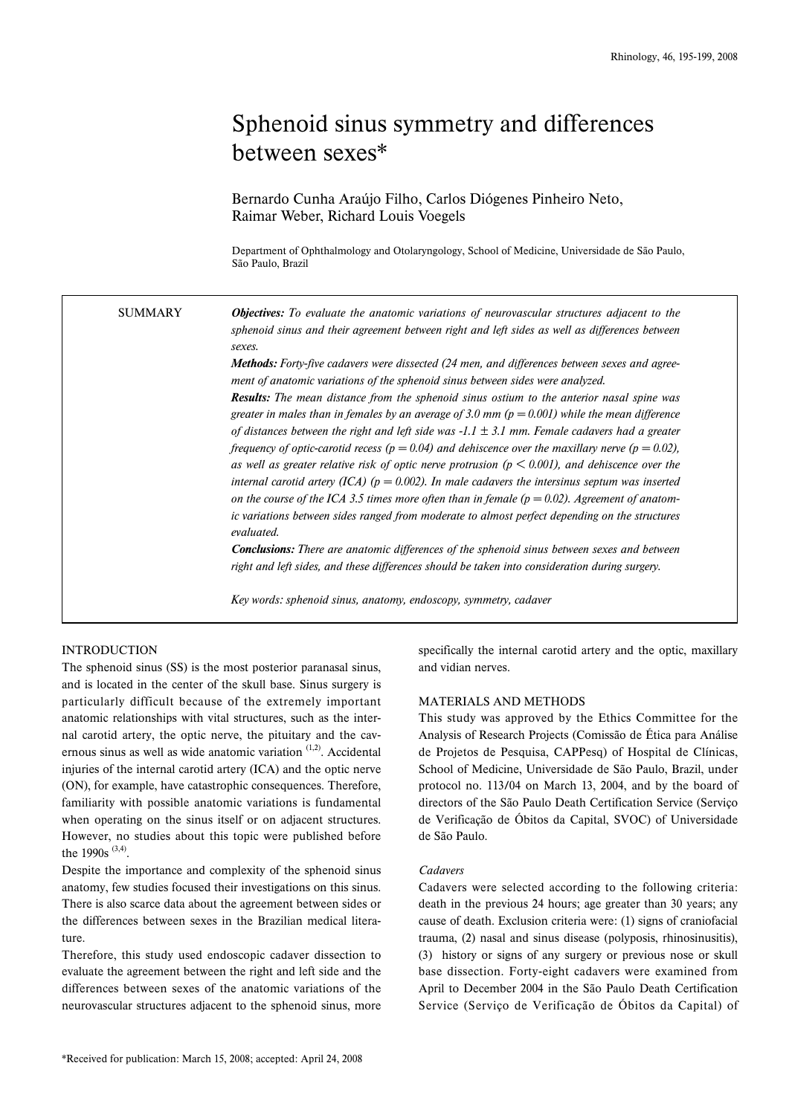# Sphenoid sinus symmetry and differences between sexes\*

Bernardo Cunha Araújo Filho, Carlos Diógenes Pinheiro Neto, Raimar Weber, Richard Louis Voegels

Department of Ophthalmology and Otolaryngology, School of Medicine, Universidade de São Paulo, São Paulo, Brazil

*Objectives: To evaluate the anatomic variations of neurovascular structures adjacent to the sphenoid sinus and their agreement between right and left sides as well as differences between sexes. Methods: Forty-five cadavers were dissected (24 men, and differences between sexes and agree-***SUMMARY** 

> *ment of anatomic variations of the sphenoid sinus between sides were analyzed. Results: The mean distance from the sphenoid sinus ostium to the anterior nasal spine was greater in males than in females by an average of 3.0 mm (p = 0.001) while the mean difference of distances between the right and left side was -1.1 ± 3.1 mm. Female cadavers had a greater frequency of optic-carotid recess (p = 0.04) and dehiscence over the maxillary nerve (p = 0.02), as well as greater relative risk of optic nerve protrusion (p < 0.001), and dehiscence over the internal carotid artery (ICA) (p = 0.002). In male cadavers the intersinus septum was inserted on the course of the ICA 3.5 times more often than in female*  $(p = 0.02)$ *. Agreement of anatomic variations between sides ranged from moderate to almost perfect depending on the structures evaluated.*

> *Conclusions: There are anatomic differences of the sphenoid sinus between sexes and between right and left sides, and these differences should be taken into consideration during surgery.*

*Key words: sphenoid sinus, anatomy, endoscopy, symmetry, cadaver*

# INTRODUCTION

The sphenoid sinus (SS) is the most posterior paranasal sinus, and is located in the center of the skull base. Sinus surgery is particularly difficult because of the extremely important anatomic relationships with vital structures, such as the internal carotid artery, the optic nerve, the pituitary and the cavernous sinus as well as wide anatomic variation <sup>(1,2)</sup>. Accidental injuries of the internal carotid artery (ICA) and the optic nerve (ON), for example, have catastrophic consequences. Therefore, familiarity with possible anatomic variations is fundamental when operating on the sinus itself or on adjacent structures. However, no studies about this topic were published before the 1990s<sup>(3,4)</sup>.

Despite the importance and complexity of the sphenoid sinus anatomy, few studies focused their investigations on this sinus. There is also scarce data about the agreement between sides or the differences between sexes in the Brazilian medical literature.

Therefore, this study used endoscopic cadaver dissection to evaluate the agreement between the right and left side and the differences between sexes of the anatomic variations of the neurovascular structures adjacent to the sphenoid sinus, more specifically the internal carotid artery and the optic, maxillary and vidian nerves.

# MATERIALS AND METHODS

This study was approved by the Ethics Committee for the Analysis of Research Projects (Comissão de Ética para Análise de Projetos de Pesquisa, CAPPesq) of Hospital de Clínicas, School of Medicine, Universidade de São Paulo, Brazil, under protocol no. 113/04 on March 13, 2004, and by the board of directors of the São Paulo Death Certification Service (Serviço de Verificação de Óbitos da Capital, SVOC) of Universidade de São Paulo.

## *Cadavers*

Cadavers were selected according to the following criteria: death in the previous 24 hours; age greater than 30 years; any cause of death. Exclusion criteria were: (1) signs of craniofacial trauma, (2) nasal and sinus disease (polyposis, rhinosinusitis), (3) history or signs of any surgery or previous nose or skull base dissection. Forty-eight cadavers were examined from April to December 2004 in the São Paulo Death Certification Service (Serviço de Verificação de Óbitos da Capital) of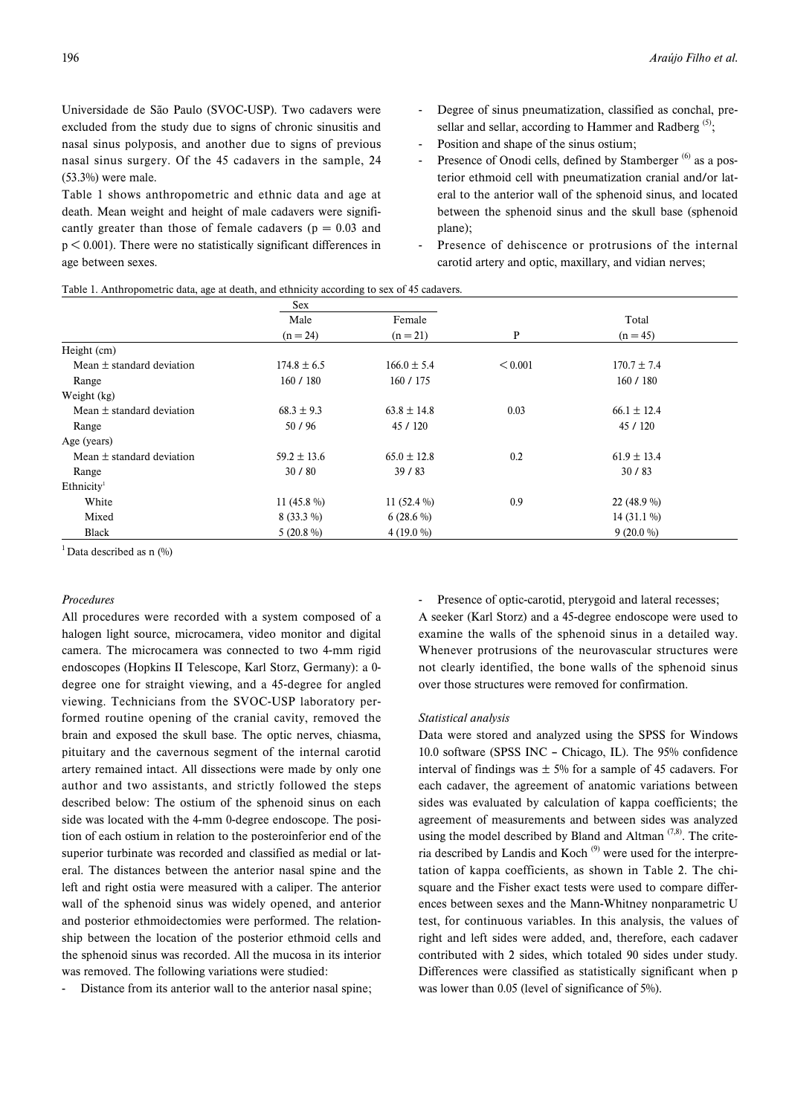Universidade de São Paulo (SVOC-USP). Two cadavers were excluded from the study due to signs of chronic sinusitis and nasal sinus polyposis, and another due to signs of previous nasal sinus surgery. Of the 45 cadavers in the sample, 24 (53.3%) were male.

Table 1 shows anthropometric and ethnic data and age at death. Mean weight and height of male cadavers were significantly greater than those of female cadavers ( $p = 0.03$  and  $p < 0.001$ ). There were no statistically significant differences in age between sexes.

- Degree of sinus pneumatization, classified as conchal, presellar and sellar, according to Hammer and Radberg<sup>(5)</sup>;
- Position and shape of the sinus ostium;
- Presence of Onodi cells, defined by Stamberger<sup>(6)</sup> as a posterior ethmoid cell with pneumatization cranial and/or lateral to the anterior wall of the sphenoid sinus, and located between the sphenoid sinus and the skull base (sphenoid plane);
- Presence of dehiscence or protrusions of the internal carotid artery and optic, maxillary, and vidian nerves;

|                               | Sex             |                 |         |                 |  |
|-------------------------------|-----------------|-----------------|---------|-----------------|--|
|                               | Male            | Female          |         | Total           |  |
|                               | $(n = 24)$      | $(n = 21)$      | P       | $(n = 45)$      |  |
| Height (cm)                   |                 |                 |         |                 |  |
| Mean $\pm$ standard deviation | $174.8 \pm 6.5$ | $166.0 \pm 5.4$ | < 0.001 | $170.7 \pm 7.4$ |  |
| Range                         | 160 / 180       | 160 / 175       |         | 160/180         |  |
| Weight (kg)                   |                 |                 |         |                 |  |
| Mean $\pm$ standard deviation | $68.3 \pm 9.3$  | $63.8 \pm 14.8$ | 0.03    | $66.1 \pm 12.4$ |  |
| Range                         | 50/96           | 45 / 120        |         | 45 / 120        |  |
| Age (years)                   |                 |                 |         |                 |  |
| Mean $\pm$ standard deviation | $59.2 \pm 13.6$ | $65.0 \pm 12.8$ | 0.2     | $61.9 \pm 13.4$ |  |
| Range                         | 30/80           | 39/83           |         | 30/83           |  |
| Ethnicity <sup>1</sup>        |                 |                 |         |                 |  |
| White                         | 11 $(45.8\%)$   | 11 $(52.4\%)$   | 0.9     | 22 $(48.9\% )$  |  |
| Mixed                         | $8(33.3\%)$     | $6(28.6\%)$     |         | 14 $(31.1\%)$   |  |
| <b>Black</b>                  | $5(20.8\%)$     | 4 $(19.0\%$     |         | $9(20.0\%)$     |  |

 $1$ Data described as n  $(\%)$ 

## *Procedures*

All procedures were recorded with a system composed of a halogen light source, microcamera, video monitor and digital camera. The microcamera was connected to two 4-mm rigid endoscopes (Hopkins II Telescope, Karl Storz, Germany): a 0degree one for straight viewing, and a 45-degree for angled viewing. Technicians from the SVOC-USP laboratory performed routine opening of the cranial cavity, removed the brain and exposed the skull base. The optic nerves, chiasma, pituitary and the cavernous segment of the internal carotid artery remained intact. All dissections were made by only one author and two assistants, and strictly followed the steps described below: The ostium of the sphenoid sinus on each side was located with the 4-mm 0-degree endoscope. The position of each ostium in relation to the posteroinferior end of the superior turbinate was recorded and classified as medial or lateral. The distances between the anterior nasal spine and the left and right ostia were measured with a caliper. The anterior wall of the sphenoid sinus was widely opened, and anterior and posterior ethmoidectomies were performed. The relationship between the location of the posterior ethmoid cells and the sphenoid sinus was recorded. All the mucosa in its interior was removed. The following variations were studied:

Distance from its anterior wall to the anterior nasal spine;

Presence of optic-carotid, pterygoid and lateral recesses; A seeker (Karl Storz) and a 45-degree endoscope were used to

examine the walls of the sphenoid sinus in a detailed way. Whenever protrusions of the neurovascular structures were not clearly identified, the bone walls of the sphenoid sinus over those structures were removed for confirmation.

#### *Statistical analysis*

Data were stored and analyzed using the SPSS for Windows 10.0 software (SPSS INC – Chicago, IL). The 95% confidence interval of findings was  $\pm$  5% for a sample of 45 cadavers. For each cadaver, the agreement of anatomic variations between sides was evaluated by calculation of kappa coefficients; the agreement of measurements and between sides was analyzed using the model described by Bland and Altman  $(7,8)$ . The criteria described by Landis and Koch<sup>(9)</sup> were used for the interpretation of kappa coefficients, as shown in Table 2. The chisquare and the Fisher exact tests were used to compare differences between sexes and the Mann-Whitney nonparametric U test, for continuous variables. In this analysis, the values of right and left sides were added, and, therefore, each cadaver contributed with 2 sides, which totaled 90 sides under study. Differences were classified as statistically significant when p was lower than 0.05 (level of significance of 5%).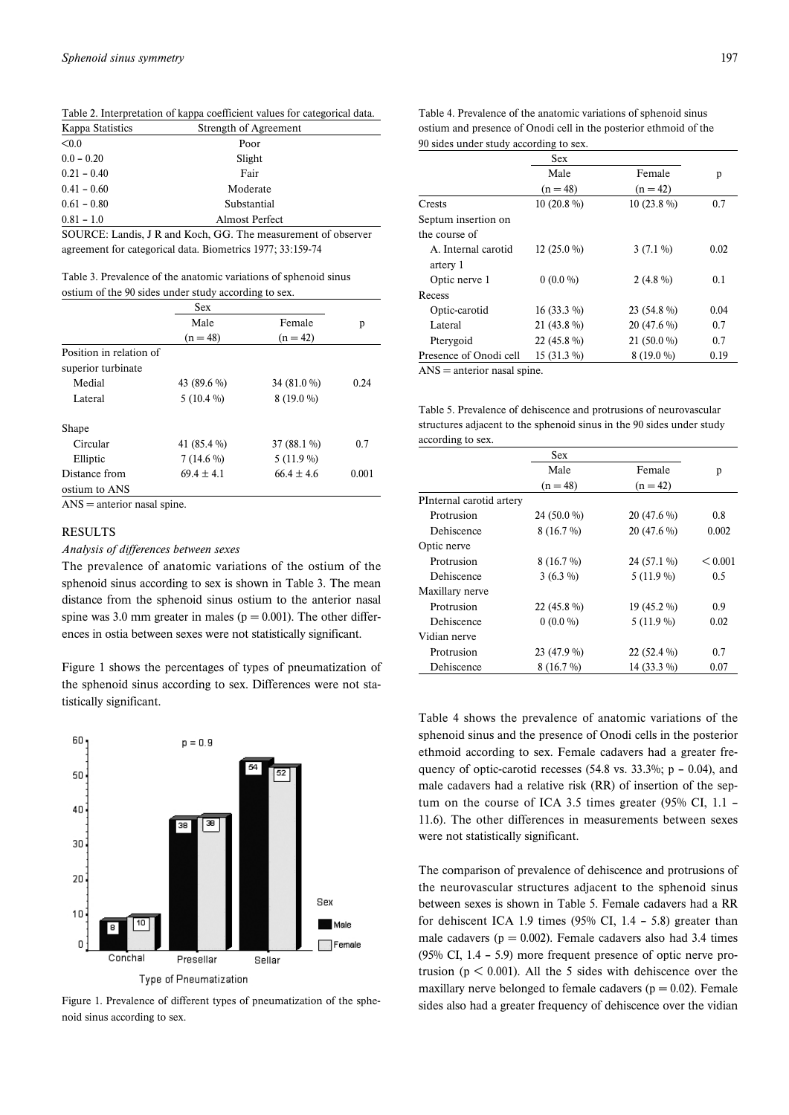Table 2. Interpretation of kappa coefficient values for categorical data.

| Kappa Statistics | Strength of Agreement |  |
|------------------|-----------------------|--|
| < 0.0            | Poor                  |  |
| $0.0 - 0.20$     | Slight                |  |
| $0.21 - 0.40$    | Fair                  |  |
| $0.41 - 0.60$    | Moderate              |  |
| $0.61 - 0.80$    | Substantial           |  |
| $0.81 - 1.0$     | Almost Perfect        |  |

SOURCE: Landis, J R and Koch, GG. The measurement of observer agreement for categorical data. Biometrics 1977; 33:159-74

Table 3. Prevalence of the anatomic variations of sphenoid sinus ostium of the 90 sides under study according to sex.

|                         | Sex            |                |       |
|-------------------------|----------------|----------------|-------|
|                         | Male           | Female         | р     |
|                         | $(n = 48)$     | $(n = 42)$     |       |
| Position in relation of |                |                |       |
| superior turbinate      |                |                |       |
| Medial                  | 43 (89.6 %)    | 34 (81.0 %)    | 0.24  |
| Lateral                 | $5(10.4\%)$    | $8(19.0\%)$    |       |
| Shape                   |                |                |       |
| Circular                | 41 (85.4 %)    | $37(88.1\%)$   | 0.7   |
| Elliptic                | $7(14.6\%)$    | $5(11.9\%)$    |       |
| Distance from           | $69.4 \pm 4.1$ | $66.4 \pm 4.6$ | 0.001 |
| ostium to ANS           |                |                |       |

ANS = anterior nasal spine.

# **RESULTS**

*Analysis of differences between sexes*

The prevalence of anatomic variations of the ostium of the sphenoid sinus according to sex is shown in Table 3. The mean distance from the sphenoid sinus ostium to the anterior nasal spine was 3.0 mm greater in males ( $p = 0.001$ ). The other differences in ostia between sexes were not statistically significant.

Figure 1 shows the percentages of types of pneumatization of the sphenoid sinus according to sex. Differences were not statistically significant.



noid sinus according to sex.

Table 4. Prevalence of the anatomic variations of sphenoid sinus ostium and presence of Onodi cell in the posterior ethmoid of the 90 sides under study according to sex.

|                        | Sex           |               |      |
|------------------------|---------------|---------------|------|
|                        | Male          | Female        | р    |
|                        | $(n = 48)$    | $(n = 42)$    |      |
| Crests                 | 10 $(20.8\%)$ | 10 $(23.8\%)$ | 0.7  |
| Septum insertion on    |               |               |      |
| the course of          |               |               |      |
| A. Internal carotid    | 12 $(25.0\%)$ | $3(7.1\%)$    | 0.02 |
| artery 1               |               |               |      |
| Optic nerve 1          | $0(0.0\%)$    | $2(4.8\%)$    | 0.1  |
| Recess                 |               |               |      |
| Optic-carotid          | $16(33.3\%)$  | 23 (54.8 %)   | 0.04 |
| Lateral                | $21(43.8\%)$  | $20(47.6\%)$  | 0.7  |
| Pterygoid              | 22 (45.8 %)   | $21(50.0\%)$  | 0.7  |
| Presence of Onodi cell | $15(31.3\%)$  | $8(19.0\%)$   | 0.19 |

ANS = anterior nasal spine.

| Table 5. Prevalence of dehiscence and protrusions of neurovascular    |
|-----------------------------------------------------------------------|
| structures adiacent to the sphenoid sinus in the 90 sides under study |
| according to sex.                                                     |

|                          | Sex          |              |         |
|--------------------------|--------------|--------------|---------|
|                          | Male         | Female       | p       |
|                          | $(n = 48)$   | $(n = 42)$   |         |
| PInternal carotid artery |              |              |         |
| Protrusion               | 24 (50.0 %)  | $20(47.6\%)$ | 0.8     |
| Dehiscence               | $8(16.7\%)$  | $20(47.6\%)$ | 0.002   |
| Optic nerve              |              |              |         |
| Protrusion               | $8(16.7\%)$  | 24 (57.1 %)  | < 0.001 |
| Dehiscence               | $3(6.3\%)$   | 5 (11.9 %)   | 0.5     |
| Maxillary nerve          |              |              |         |
| Protrusion               | $22(45.8\%)$ | 19 (45.2 %)  | 0.9     |
| Dehiscence               | $0(0.0\%)$   | 5 (11.9 %)   | 0.02    |
| Vidian nerve             |              |              |         |
| Protrusion               | 23 (47.9 %)  | $22(52.4\%)$ | 0.7     |
| Dehiscence               | $8(16.7\%)$  | 14 (33.3 %)  | 0.07    |

Table 4 shows the prevalence of anatomic variations of the sphenoid sinus and the presence of Onodi cells in the posterior ethmoid according to sex. Female cadavers had a greater frequency of optic-carotid recesses (54.8 vs. 33.3%;  $p - 0.04$ ), and male cadavers had a relative risk (RR) of insertion of the septum on the course of ICA 3.5 times greater (95% CI, 1.1 – 11.6). The other differences in measurements between sexes were not statistically significant.

The comparison of prevalence of dehiscence and protrusions of the neurovascular structures adjacent to the sphenoid sinus between sexes is shown in Table 5. Female cadavers had a RR for dehiscent ICA 1.9 times  $(95\% \text{ CI}, 1.4 - 5.8)$  greater than male cadavers ( $p = 0.002$ ). Female cadavers also had 3.4 times (95% CI, 1.4 – 5.9) more frequent presence of optic nerve protrusion ( $p < 0.001$ ). All the 5 sides with dehiscence over the maxillary nerve belonged to female cadavers ( $p = 0.02$ ). Female Figure 1. Prevalence of different types of pneumatization of the sphe-sides also had a greater frequency of dehiscence over the vidian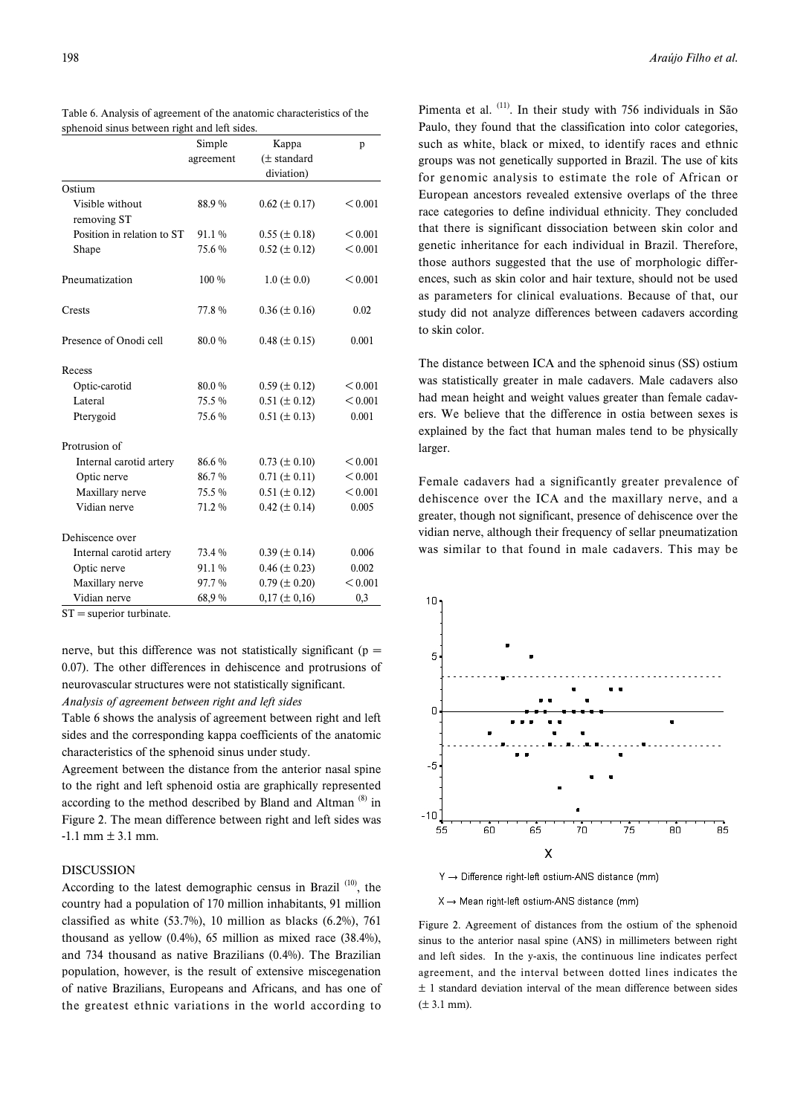|                                | Simple    | Kappa               | p       |
|--------------------------------|-----------|---------------------|---------|
|                                | agreement | $(\pm$ standard     |         |
|                                |           | diviation)          |         |
| Ostium                         |           |                     |         |
| Visible without<br>removing ST | 88.9%     | $0.62 \ (\pm 0.17)$ | < 0.001 |
| Position in relation to ST     | 91.1%     | $0.55 (\pm 0.18)$   | < 0.001 |
| Shape                          | 75.6%     | $0.52 \ (\pm 0.12)$ | < 0.001 |
| Pneumatization                 | $100\%$   | $1.0 \ (\pm 0.0)$   | < 0.001 |
| Crests                         | 77.8%     | $0.36 \ (\pm 0.16)$ | 0.02    |
| Presence of Onodi cell         | 80.0%     | $0.48 (\pm 0.15)$   | 0.001   |
| Recess                         |           |                     |         |
| Optic-carotid                  | 80.0%     | $0.59 \ (\pm 0.12)$ | < 0.001 |
| Lateral                        | 75.5 %    | $0.51 (\pm 0.12)$   | < 0.001 |
| Pterygoid                      | 75.6%     | $0.51 (\pm 0.13)$   | 0.001   |
| Protrusion of                  |           |                     |         |
| Internal carotid artery        | 86.6%     | $0.73 \ (\pm 0.10)$ | < 0.001 |
| Optic nerve                    | 86.7%     | $0.71 (\pm 0.11)$   | < 0.001 |
| Maxillary nerve                | 75.5 %    | $0.51 (\pm 0.12)$   | < 0.001 |
| Vidian nerve                   | 71.2 %    | $0.42 (\pm 0.14)$   | 0.005   |
| Dehiscence over                |           |                     |         |
| Internal carotid artery        | 73.4 %    | $0.39 \ (\pm 0.14)$ | 0.006   |
| Optic nerve                    | 91.1 %    | $0.46 (\pm 0.23)$   | 0.002   |
| Maxillary nerve                | 97.7 %    | $0.79 \ (\pm 0.20)$ | < 0.001 |
| Vidian nerve                   | 68.9%     | $0,17 (\pm 0,16)$   | 0,3     |

Table 6. Analysis of agreement of the anatomic characteristics of the sphenoid sinus between right and left sides.

 $ST =$  superior turbinate.

nerve, but this difference was not statistically significant ( $p =$ 0.07). The other differences in dehiscence and protrusions of neurovascular structures were not statistically significant.

# *Analysis of agreement between right and left sides*

Table 6 shows the analysis of agreement between right and left sides and the corresponding kappa coefficients of the anatomic characteristics of the sphenoid sinus under study.

Agreement between the distance from the anterior nasal spine to the right and left sphenoid ostia are graphically represented according to the method described by Bland and Altman  $(8)$  in Figure 2. The mean difference between right and left sides was  $-1.1$  mm  $\pm 3.1$  mm.

## DISCUSSION

According to the latest demographic census in Brazil  $(10)$ , the country had a population of 170 million inhabitants, 91 million classified as white (53.7%), 10 million as blacks (6.2%), 761 thousand as yellow (0.4%), 65 million as mixed race (38.4%), and 734 thousand as native Brazilians (0.4%). The Brazilian population, however, is the result of extensive miscegenation of native Brazilians, Europeans and Africans, and has one of the greatest ethnic variations in the world according to

Pimenta et al. (11). In their study with 756 individuals in São Paulo, they found that the classification into color categories, such as white, black or mixed, to identify races and ethnic groups was not genetically supported in Brazil. The use of kits for genomic analysis to estimate the role of African or European ancestors revealed extensive overlaps of the three race categories to define individual ethnicity. They concluded that there is significant dissociation between skin color and genetic inheritance for each individual in Brazil. Therefore, those authors suggested that the use of morphologic differences, such as skin color and hair texture, should not be used as parameters for clinical evaluations. Because of that, our study did not analyze differences between cadavers according to skin color.

The distance between ICA and the sphenoid sinus (SS) ostium was statistically greater in male cadavers. Male cadavers also had mean height and weight values greater than female cadavers. We believe that the difference in ostia between sexes is explained by the fact that human males tend to be physically larger.

Female cadavers had a significantly greater prevalence of dehiscence over the ICA and the maxillary nerve, and a greater, though not significant, presence of dehiscence over the vidian nerve, although their frequency of sellar pneumatization was similar to that found in male cadavers. This may be



Y → Difference right-left ostium-ANS distance (mm)

 $X \rightarrow$  Mean right-left ostium-ANS distance (mm)

Figure 2. Agreement of distances from the ostium of the sphenoid sinus to the anterior nasal spine (ANS) in millimeters between right and left sides. In the y-axis, the continuous line indicates perfect agreement, and the interval between dotted lines indicates the ± 1 standard deviation interval of the mean difference between sides  $(\pm 3.1 \text{ mm})$ .